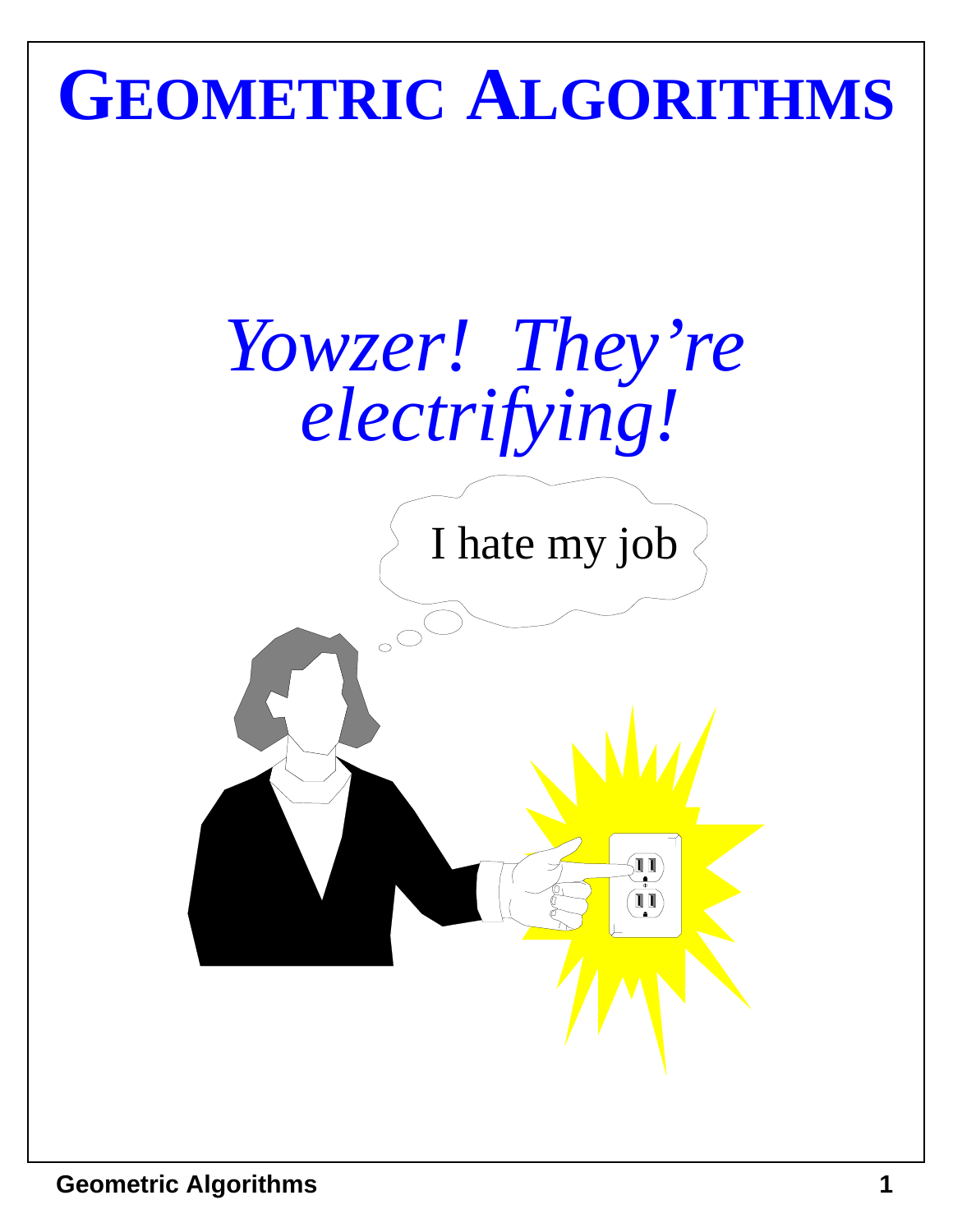# **GEOMETRIC ALGORITHMS**



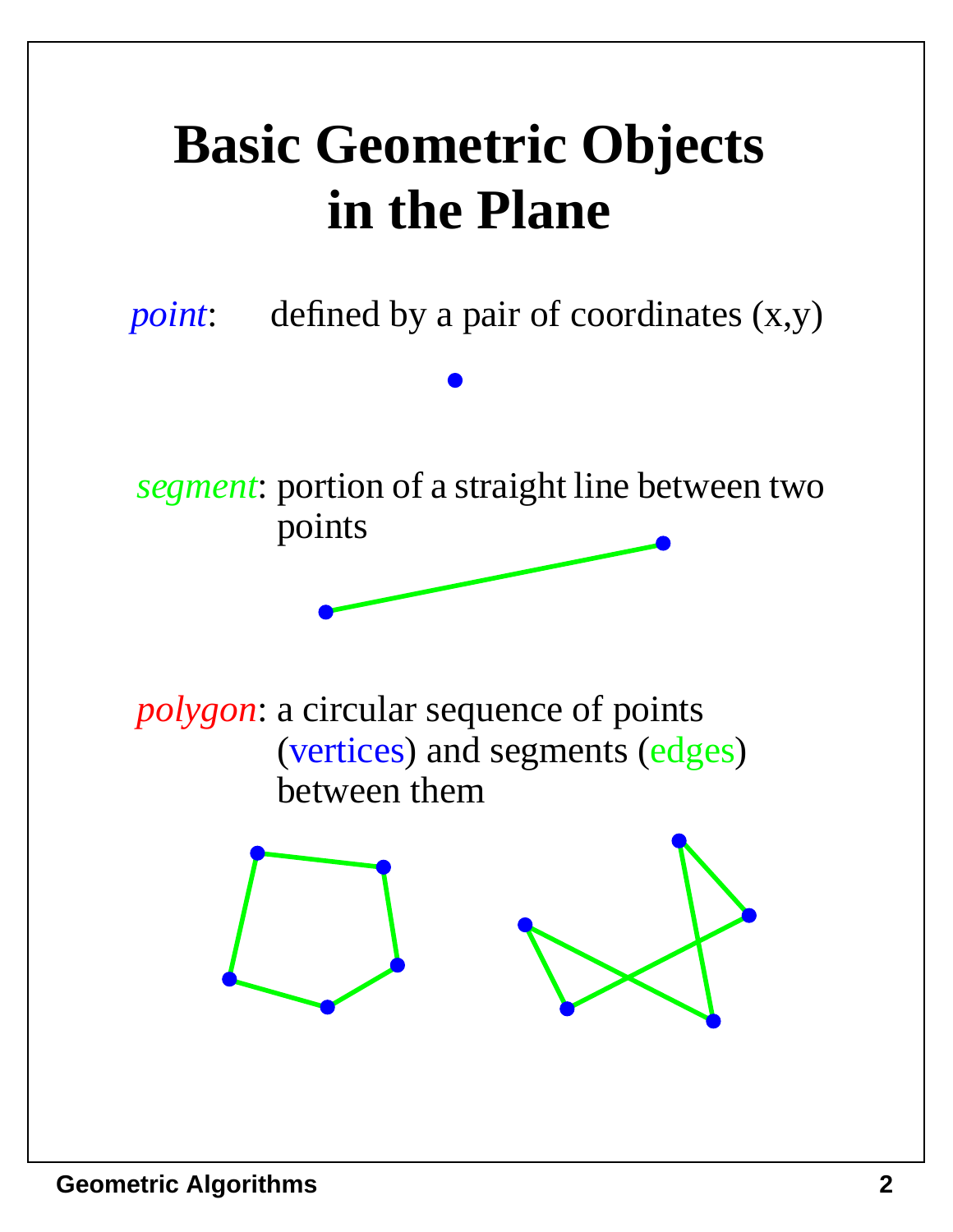# **Basic Geometric Objects in the Plane**

*point*: defined by a pair of coordinates  $(x,y)$ 

*segment*: portion of a straight line between two points

*polygon*: a circular sequence of points (vertices) and segments (edges) between them

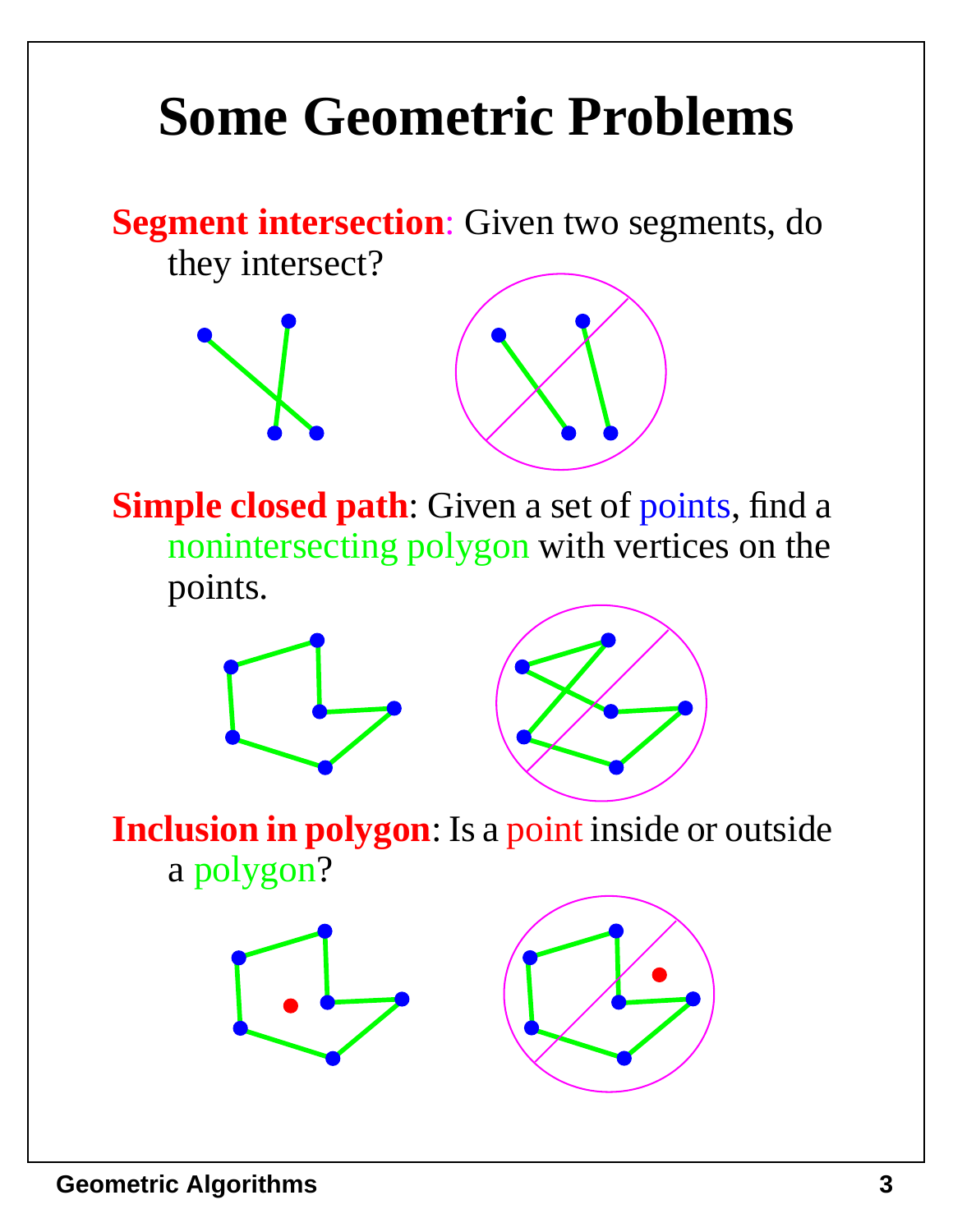# **Some Geometric Problems**

**Segment intersection**: Given two segments, do they intersect?







**Inclusion in polygon**: Is a point inside or outside a polygon?



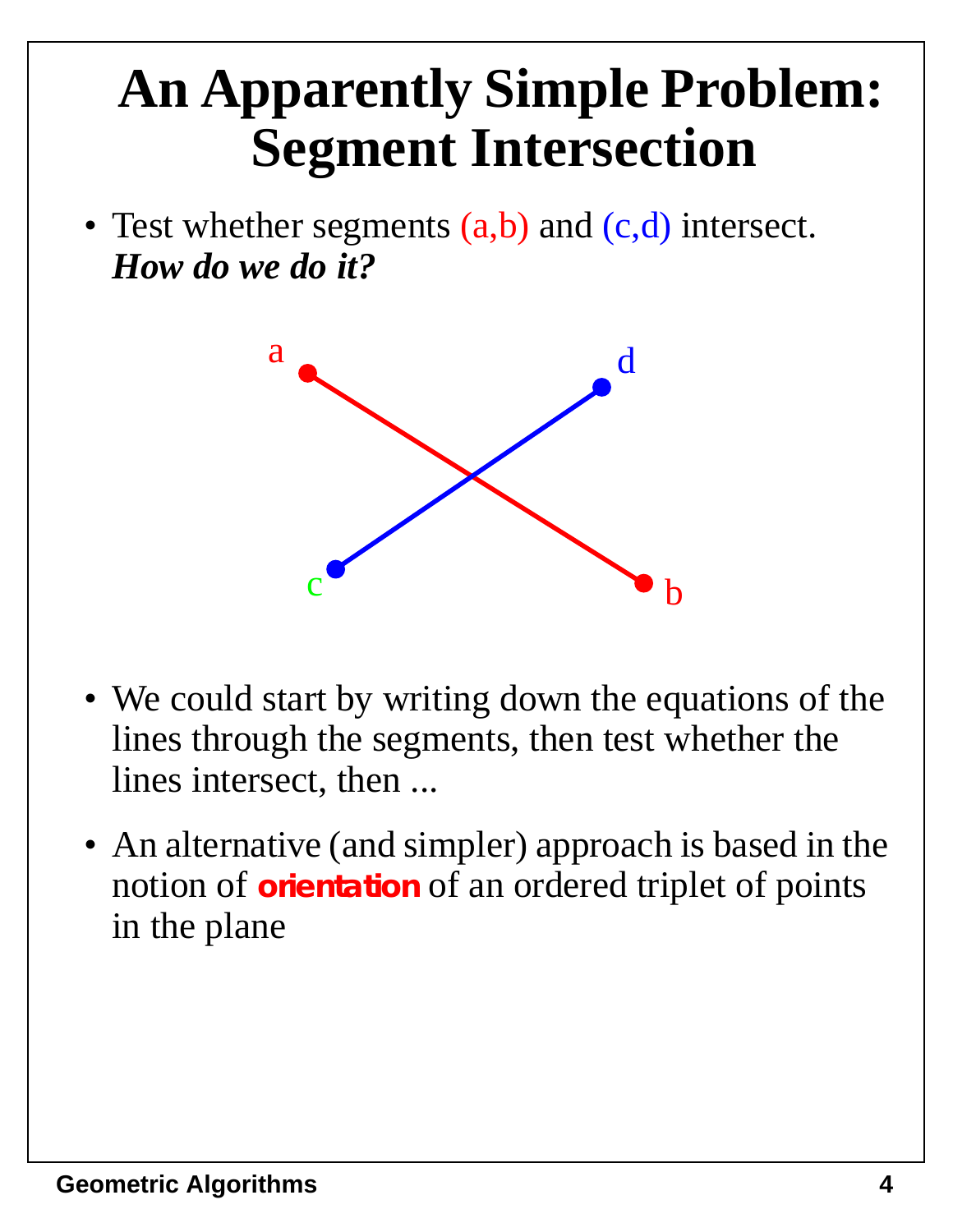#### **An Apparently Simple Problem: Segment Intersection**

• Test whether segments (a,b) and (c,d) intersect. *How do we do it?*



- We could start by writing down the equations of the lines through the segments, then test whether the lines intersect, then ...
- An alternative (and simpler) approach is based in the notion of **orientation** of an ordered triplet of points in the plane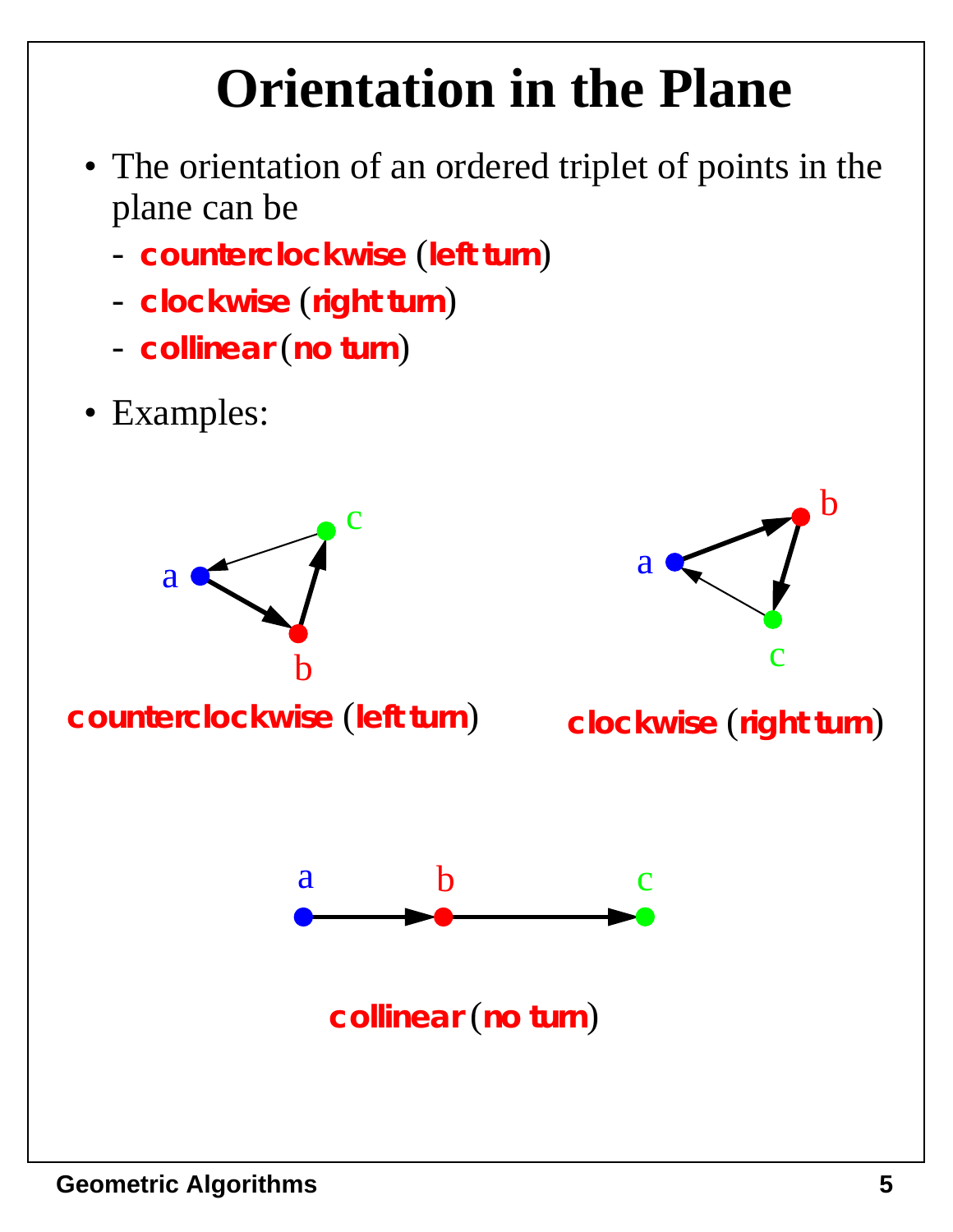# **Orientation in the Plane**

- The orientation of an ordered triplet of points in the plane can be
	- **counterclockwise** (**left turn**)
	- **clockwise** (**right turn**)
	- **collinear** (**no turn**)
- Examples:

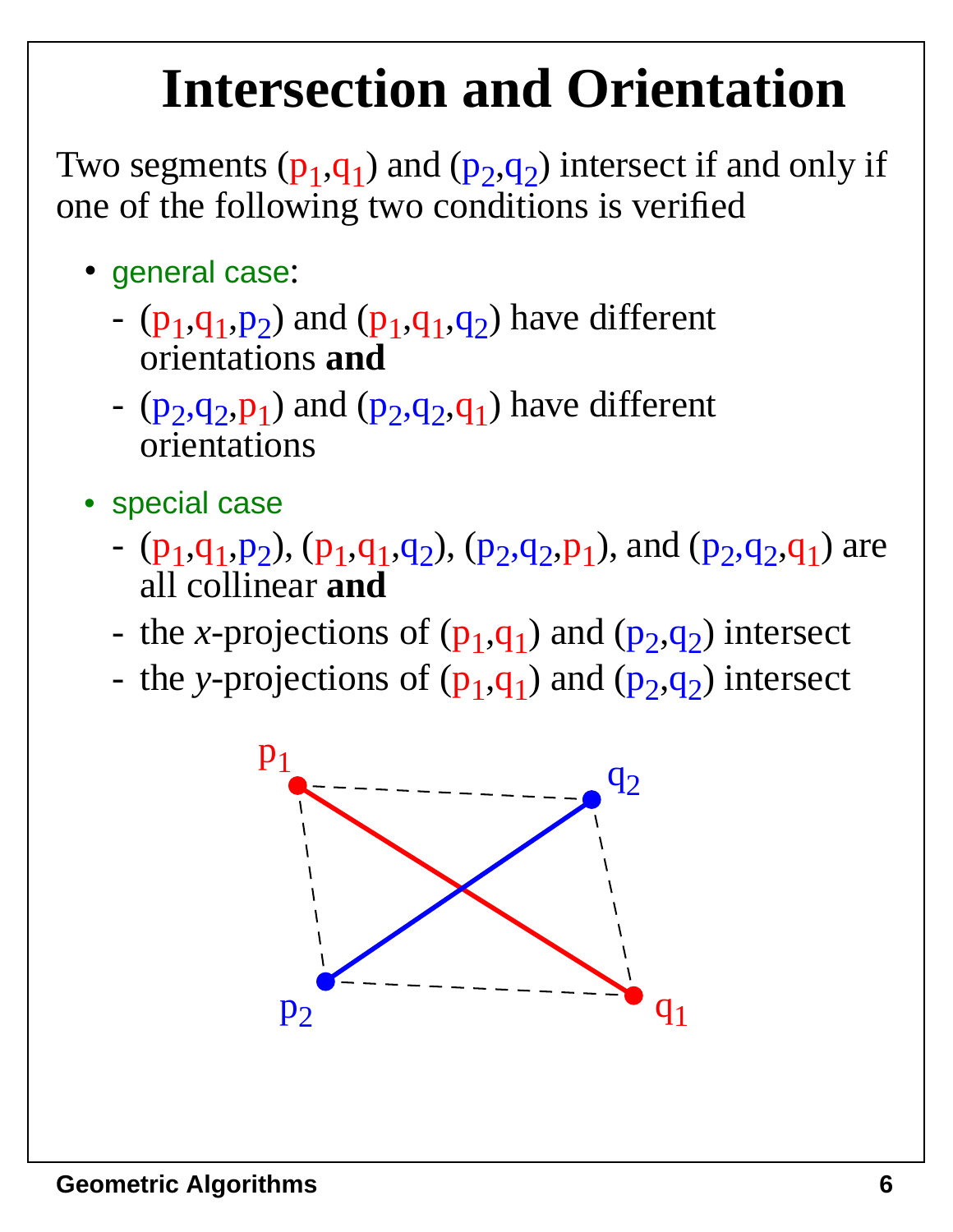#### **Intersection and Orientation**

Two segments  $(p_1,q_1)$  and  $(p_2,q_2)$  intersect if and only if one of the following two conditions is verified

- general case:
	- $(p_1,q_1,p_2)$  and  $(p_1,q_1,q_2)$  have different orientations **and**
	- $(p_2, q_2, p_1)$  and  $(p_2, q_2, q_1)$  have different orientations
- special case
	- $(p_1,q_1,p_2)$ ,  $(p_1,q_1,q_2)$ ,  $(p_2,q_2,p_1)$ , and  $(p_2,q_2,q_1)$  are all collinear **and**
	- the *x*-projections of  $(p_1,q_1)$  and  $(p_2,q_2)$  intersect
	- the *y*-projections of  $(p_1,q_1)$  and  $(p_2,q_2)$  intersect

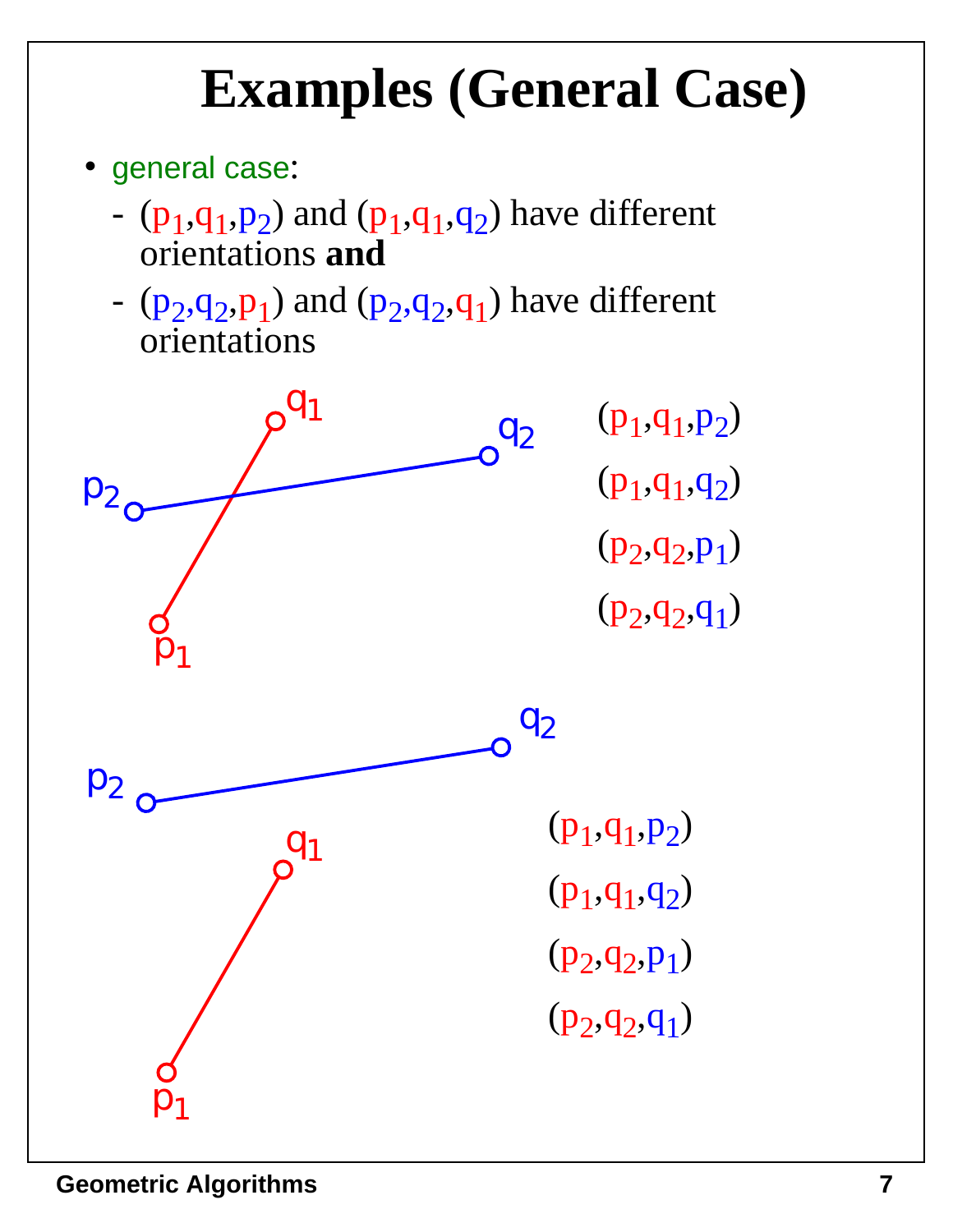#### **Examples (General Case)**

- general case:
	- $(p_1,q_1,p_2)$  and  $(p_1,q_1,q_2)$  have different orientations **and**
	- $(p_2,q_2,p_1)$  and  $(p_2,q_2,q_1)$  have different orientations

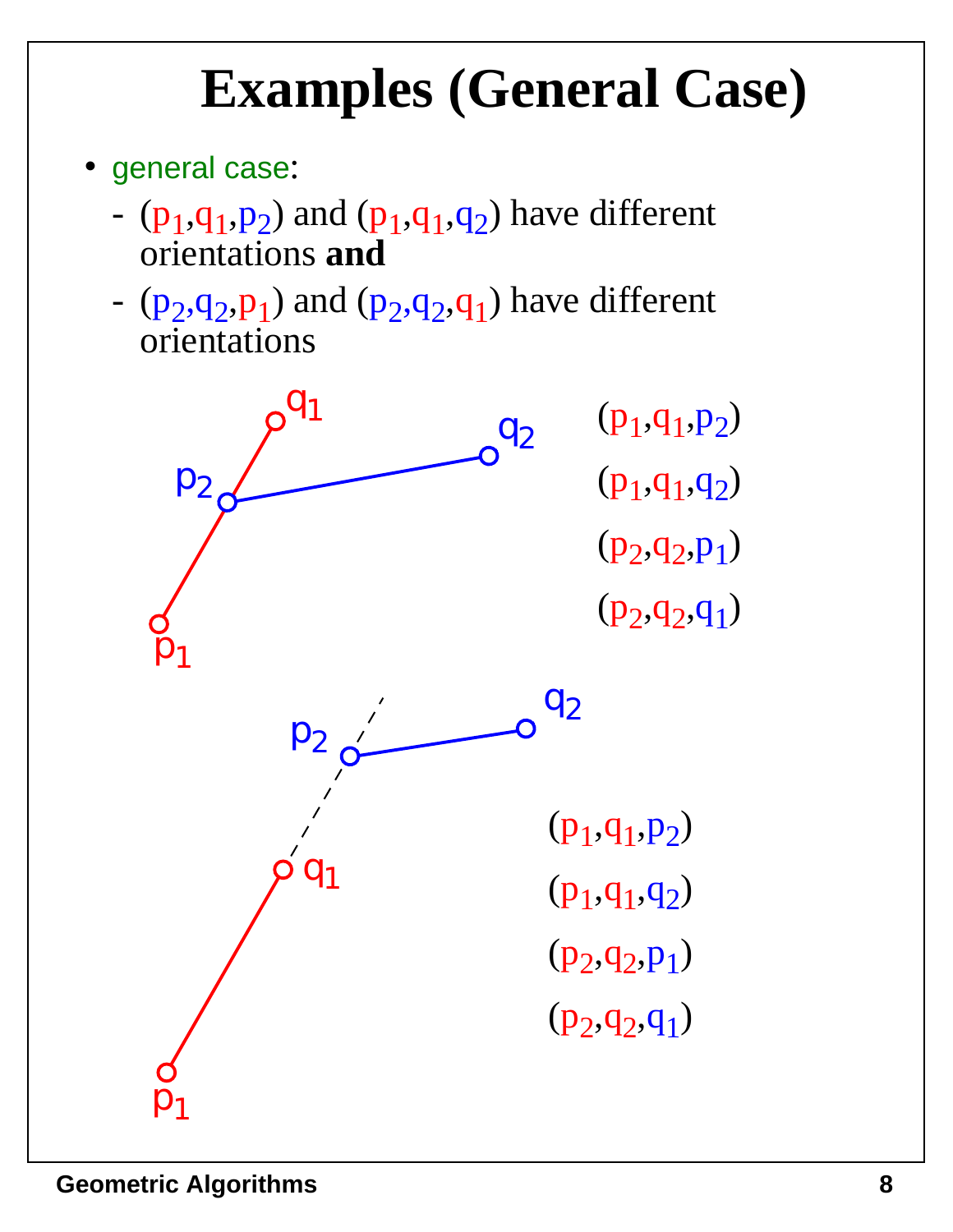#### **Examples (General Case)**

- general case:
	- $(p_1,q_1,p_2)$  and  $(p_1,q_1,q_2)$  have different orientations **and**
	- $(p_2,q_2,p_1)$  and  $(p_2,q_2,q_1)$  have different orientations

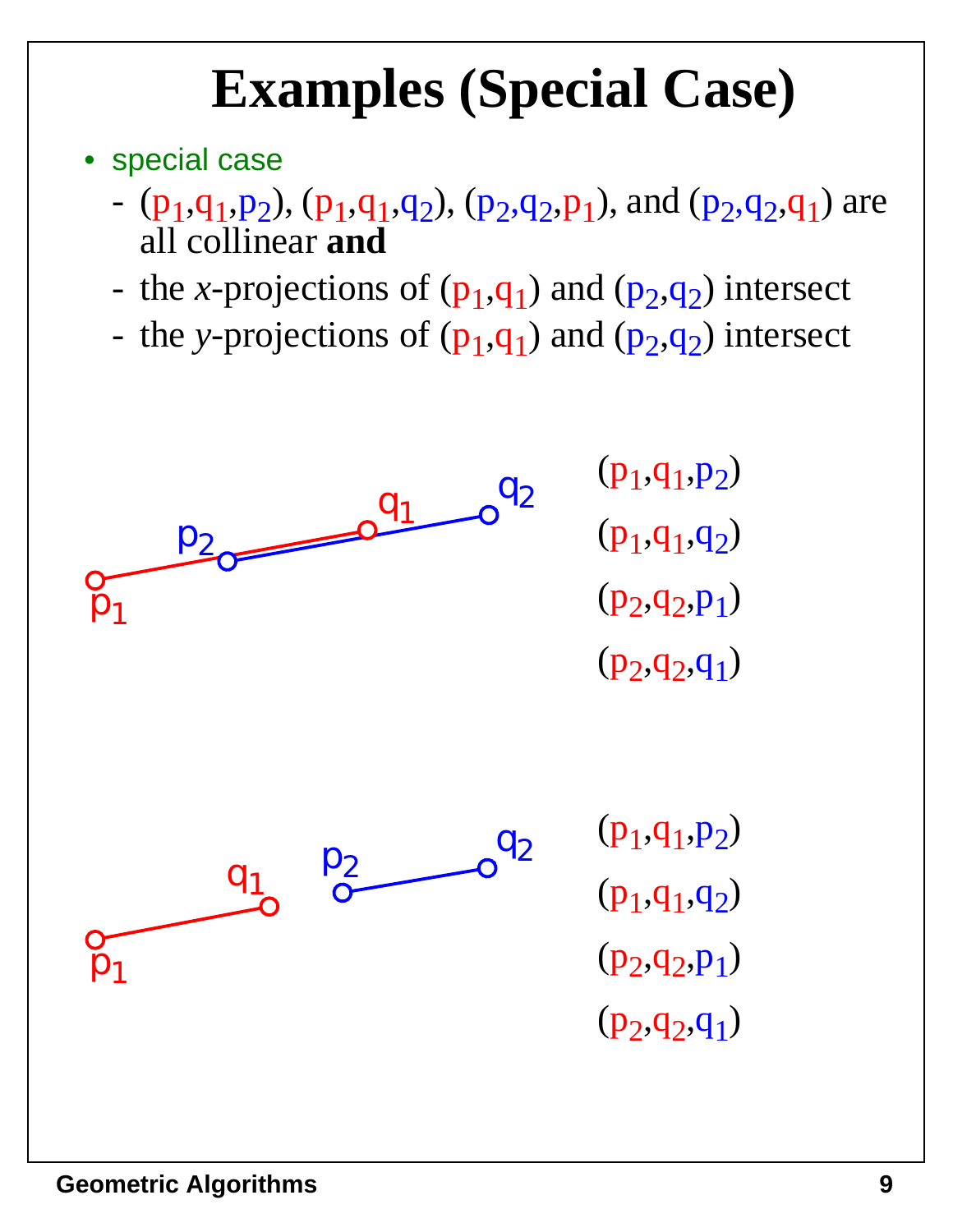# **Examples (Special Case)**

- special case
	- $(p_1,q_1,p_2)$ ,  $(p_1,q_1,q_2)$ ,  $(p_2,q_2,p_1)$ , and  $(p_2,q_2,q_1)$  are all collinear **and**
	- the *x*-projections of  $(p_1,q_1)$  and  $(p_2,q_2)$  intersect
	- the *y*-projections of  $(p_1,q_1)$  and  $(p_2,q_2)$  intersect

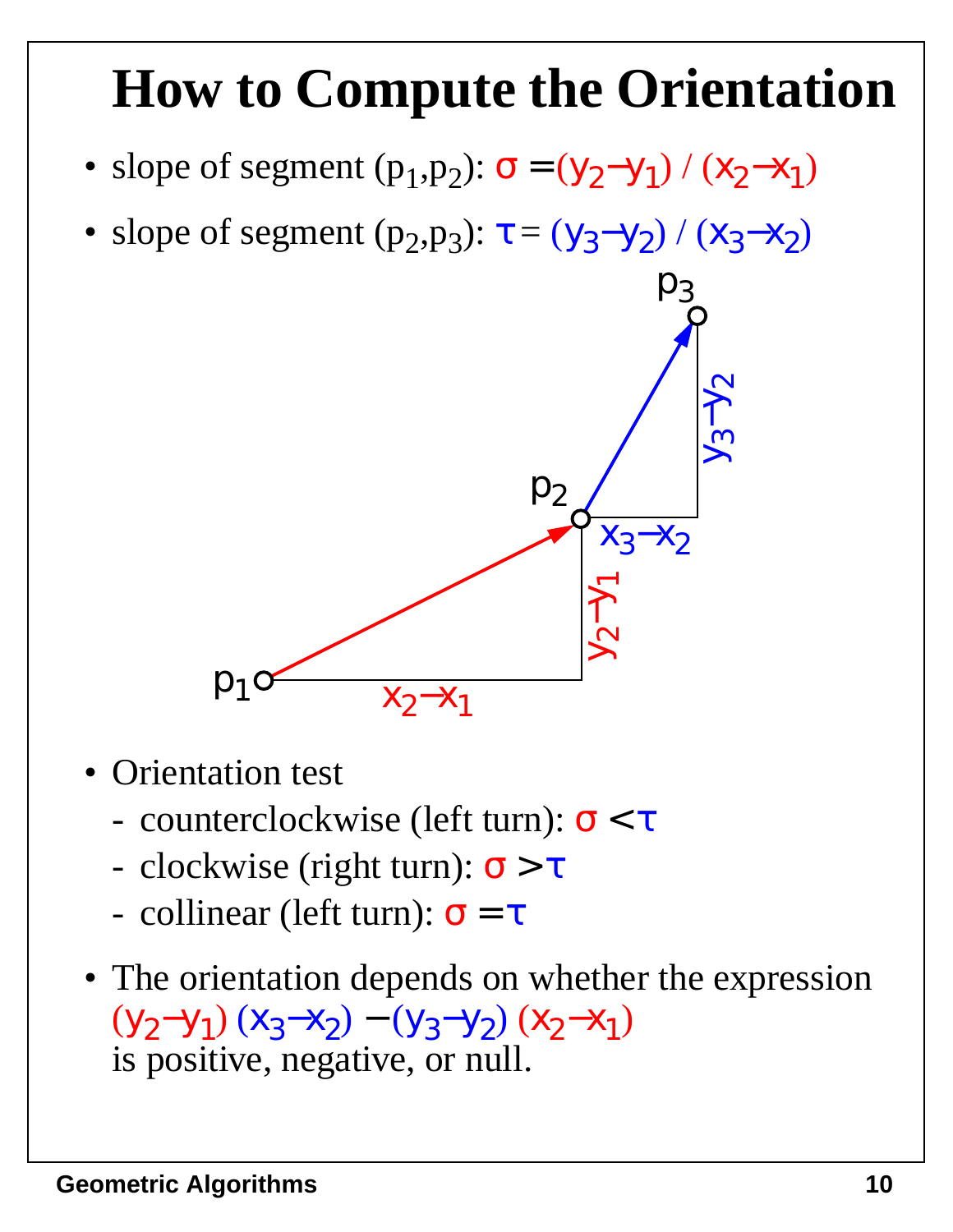#### **How to Compute the Orientation**

- slope of segment  $(p_1, p_2)$ :  $\sigma = (y_2 y_1) / (x_2 x_1)$
- slope of segment  $(p_2, p_3)$ :  $\tau = (y_3 y_2) / (x_3 x_2)$



- Orientation test
	- counterclockwise (left turn):  $\sigma < \tau$
	- clockwise (right turn):  $\sigma > \tau$
	- collinear (left turn):  $\sigma = \tau$
- The orientation depends on whether the expression  $(y_2-y_1)(x_3-x_2)-(y_3-y_2)(x_2-x_1)$ is positive, negative, or null.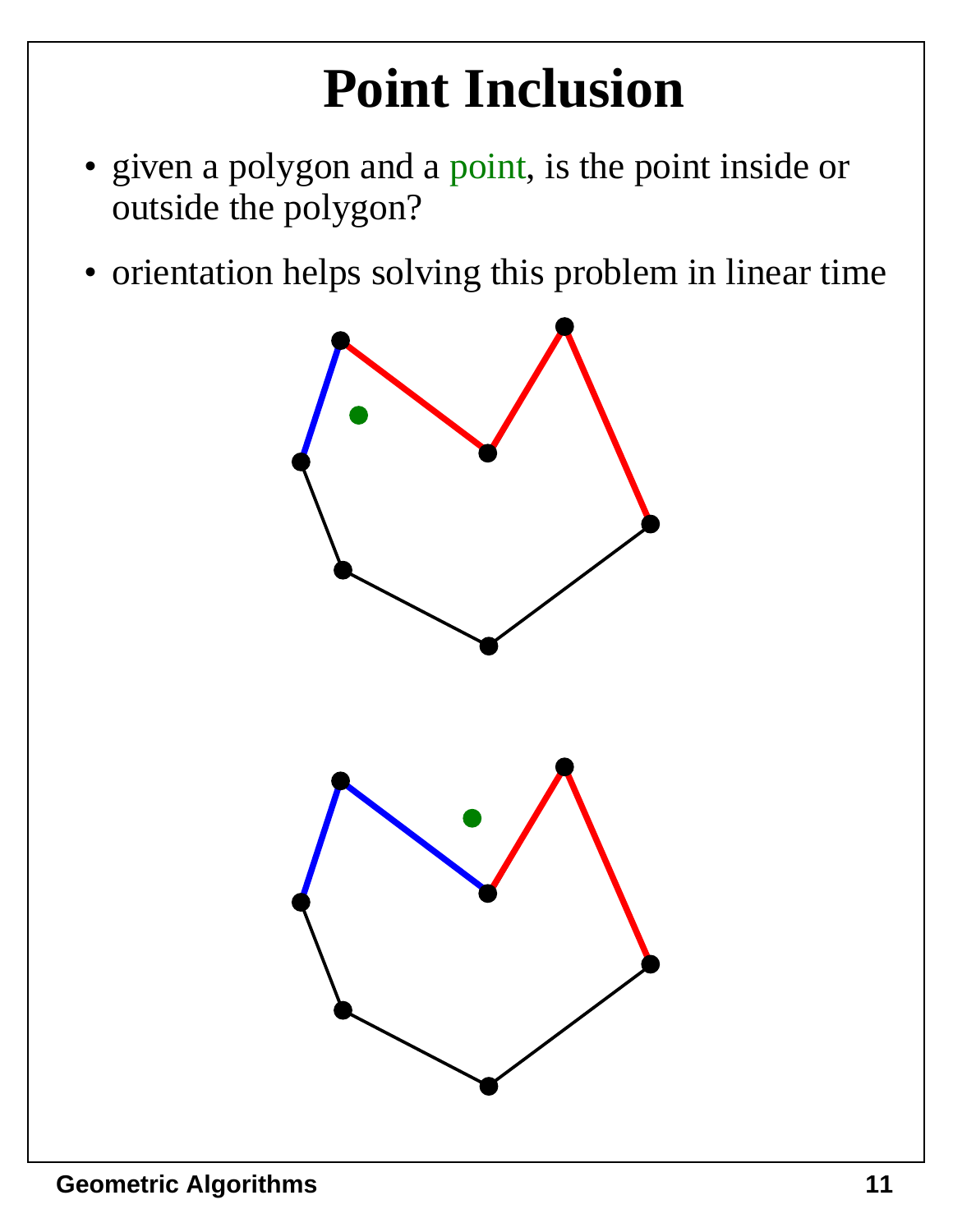# **Point Inclusion**

- given a polygon and a point, is the point inside or outside the polygon?
- orientation helps solving this problem in linear time

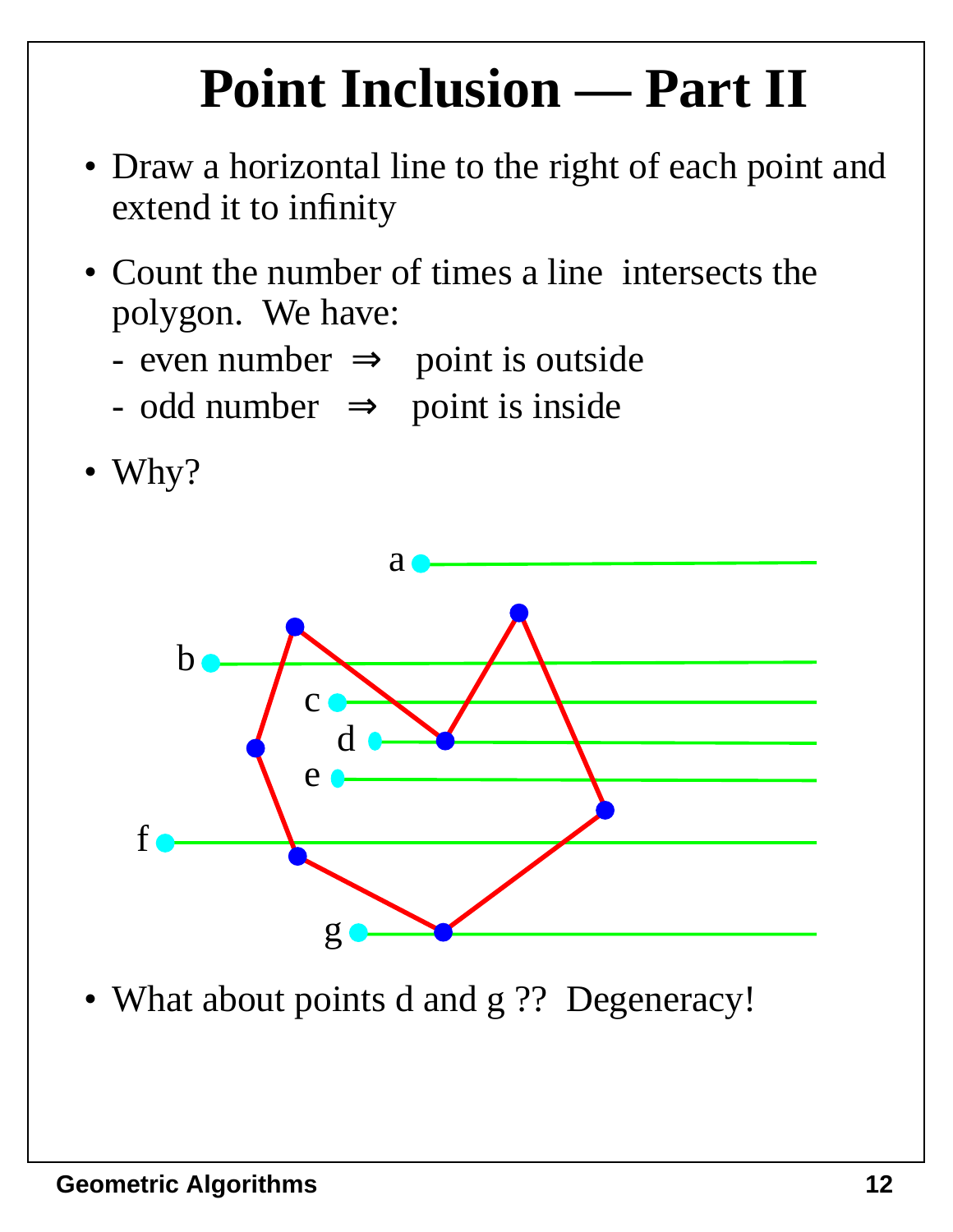# **Point Inclusion — Part II**

- Draw a horizontal line to the right of each point and extend it to infinity
- Count the number of times a line intersects the polygon. We have:
	- even number  $\Rightarrow$  point is outside
	- odd number  $\implies$  point is inside





• What about points d and g ?? Degeneracy!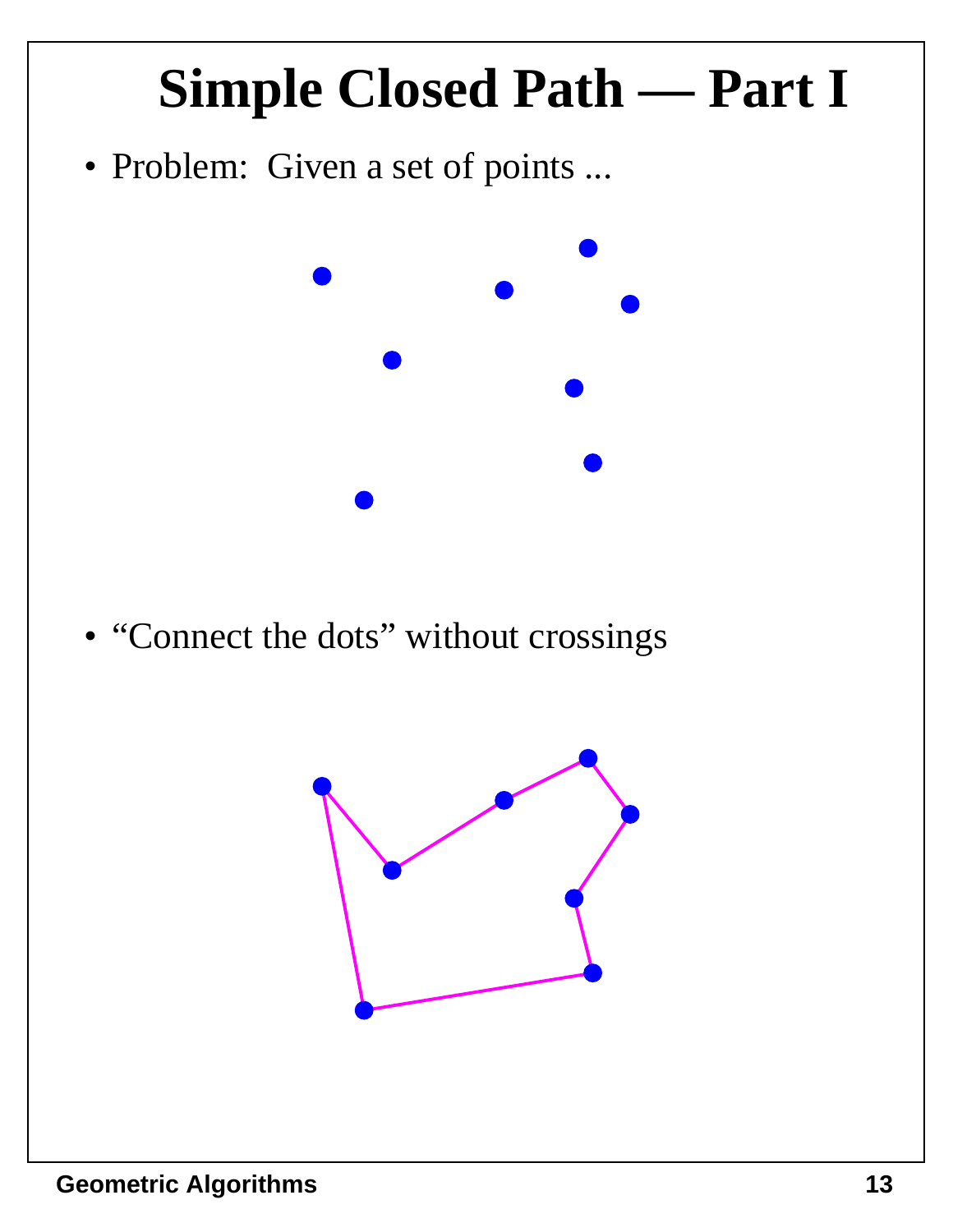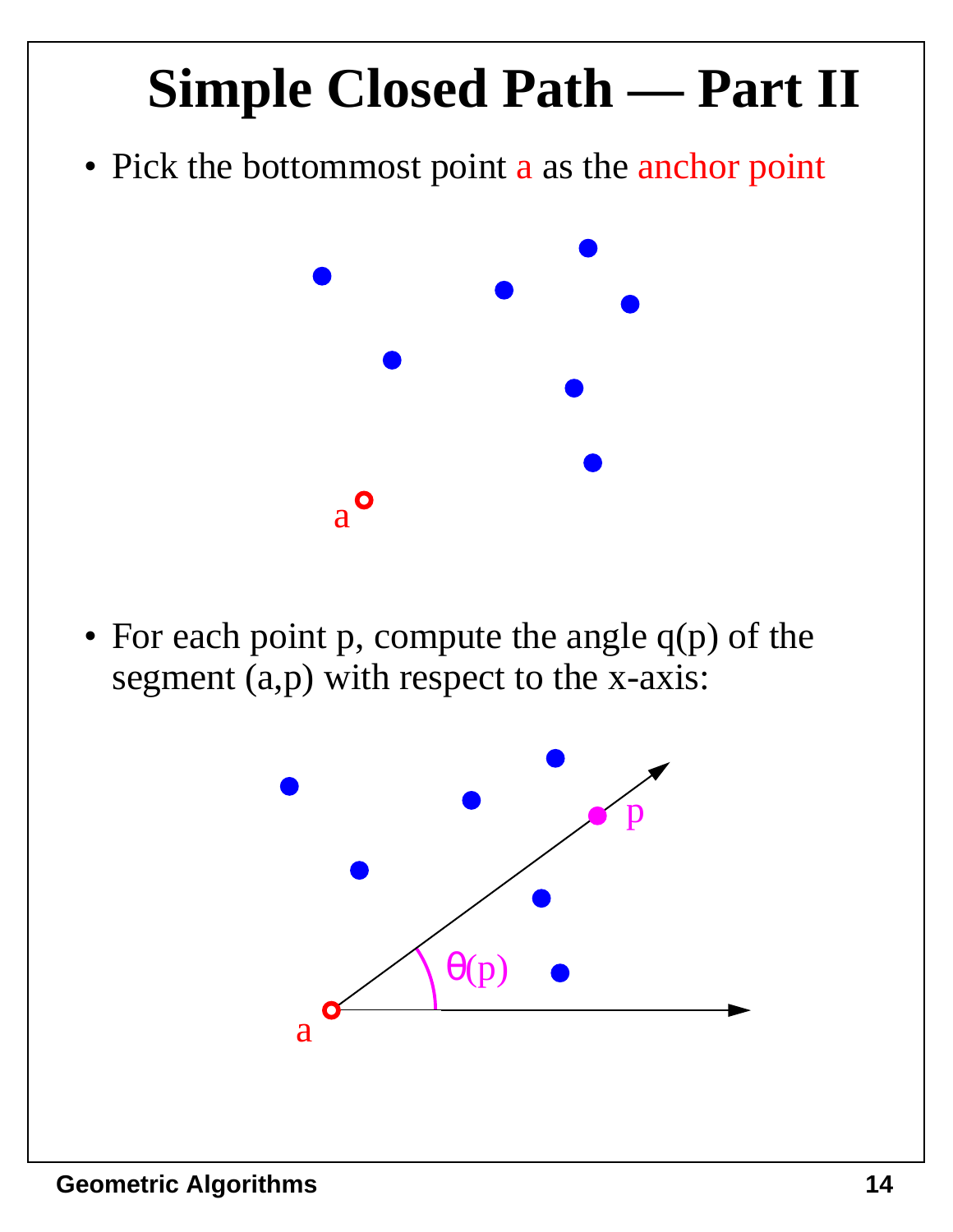

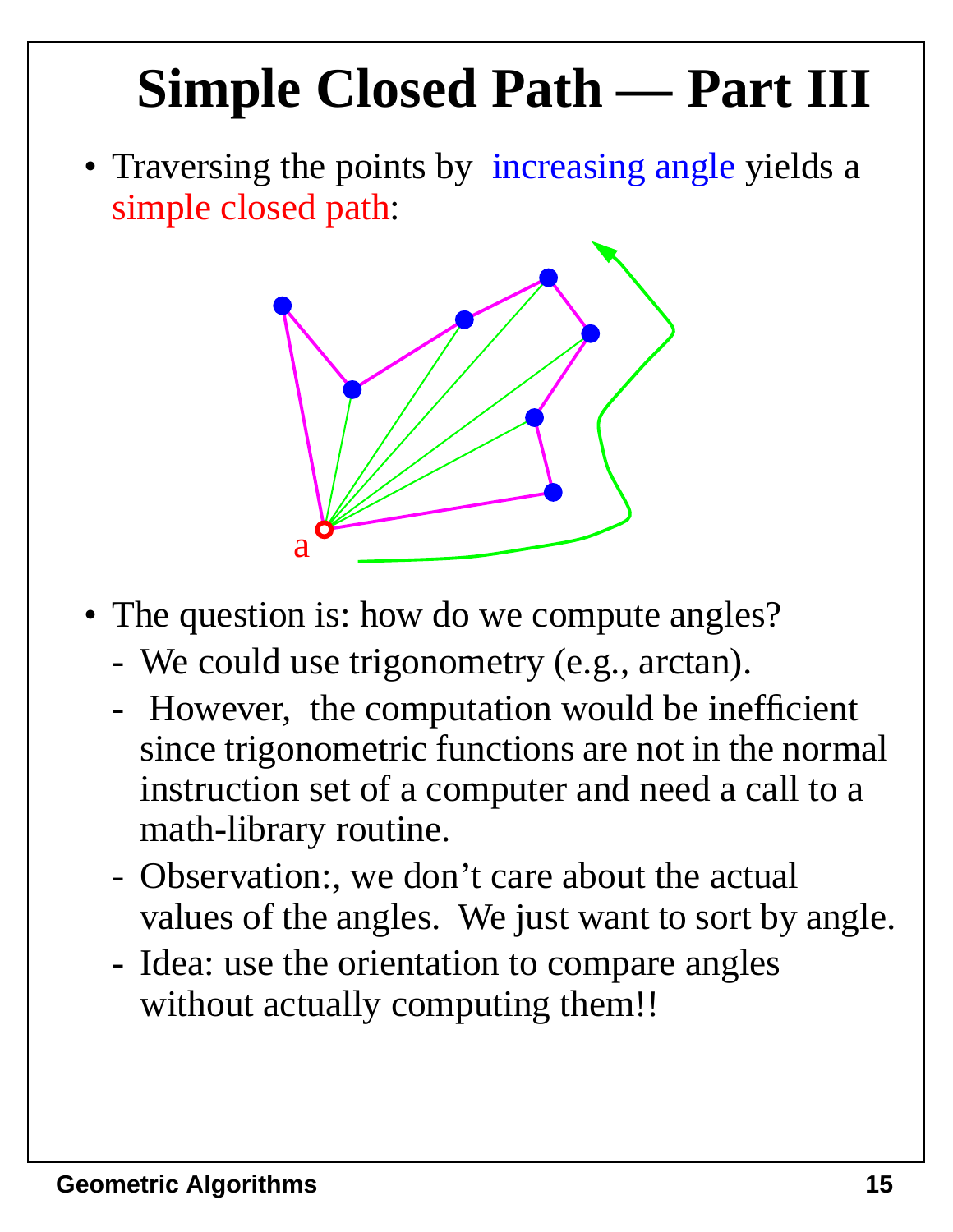# **Simple Closed Path — Part III**

• Traversing the points by increasing angle yields a simple closed path:



- The question is: how do we compute angles?
	- We could use trigonometry (e.g., arctan).
	- However, the computation would be inefficient since trigonometric functions are not in the normal instruction set of a computer and need a call to a math-library routine.
	- Observation:, we don't care about the actual values of the angles. We just want to sort by angle.
	- Idea: use the orientation to compare angles without actually computing them!!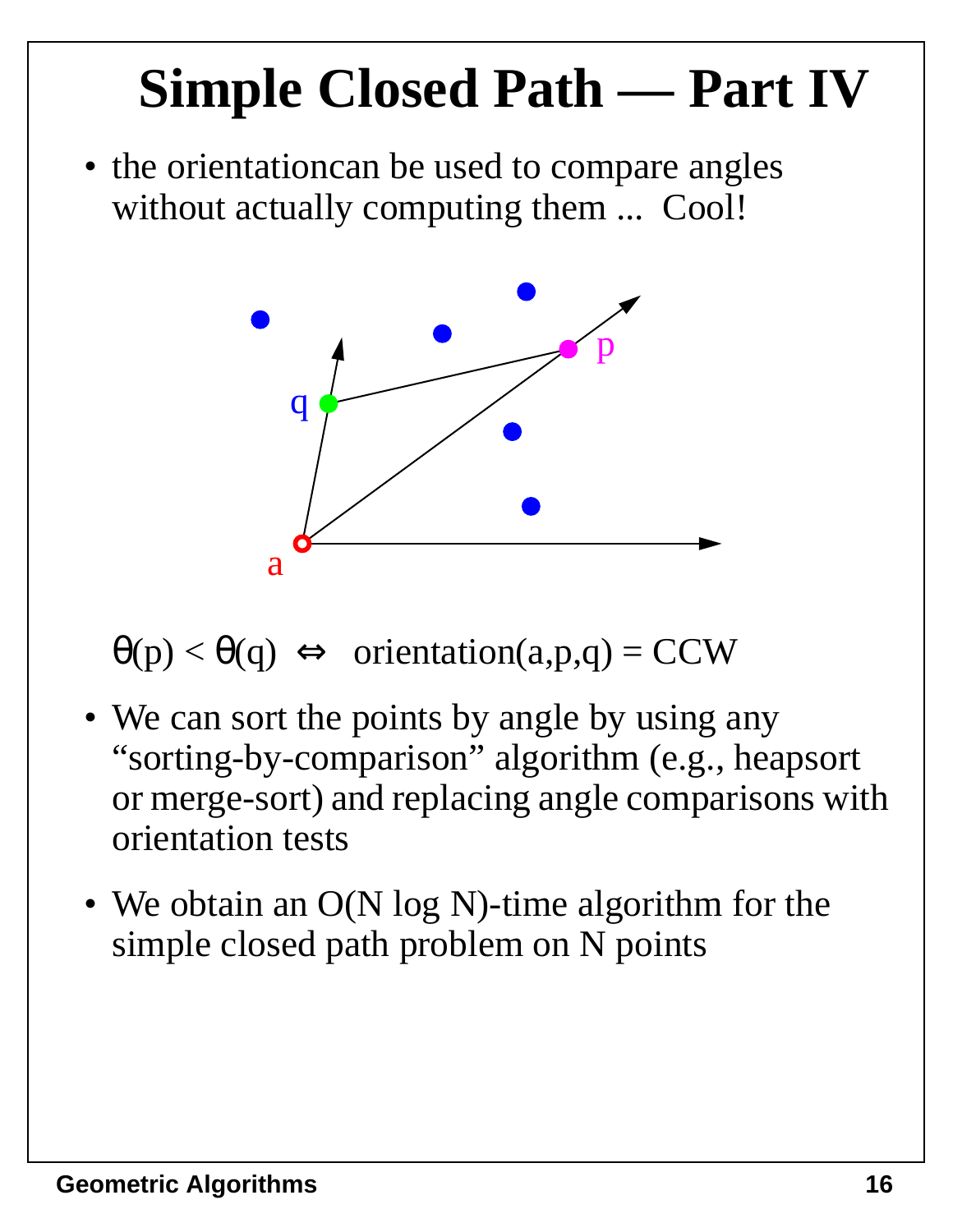# **Simple Closed Path — Part IV**

• the orientation can be used to compare angles without actually computing them ... Cool!



 $\theta(p) < \theta(q) \Leftrightarrow$  orientation(a,p,q) = CCW

- We can sort the points by angle by using any "sorting-by-comparison" algorithm (e.g., heapsort or merge-sort) and replacing angle comparisons with orientation tests
- We obtain an O(N log N)-time algorithm for the simple closed path problem on N points